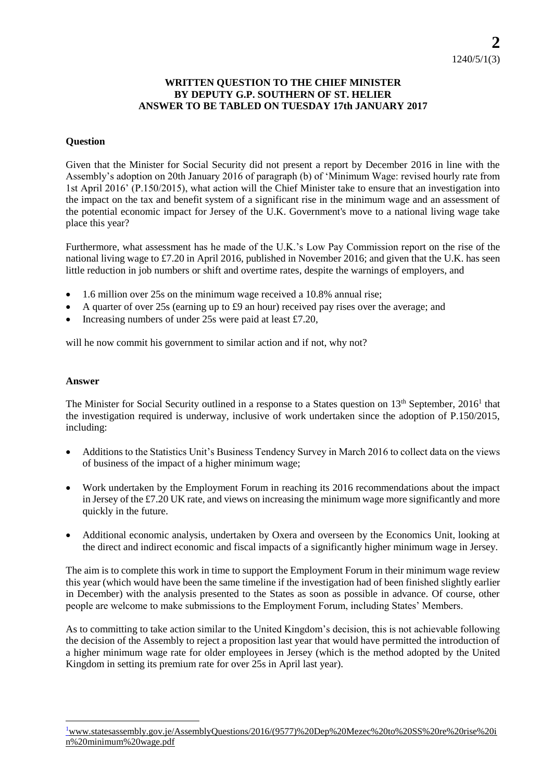## **WRITTEN QUESTION TO THE CHIEF MINISTER BY DEPUTY G.P. SOUTHERN OF ST. HELIER ANSWER TO BE TABLED ON TUESDAY 17th JANUARY 2017**

## **Question**

Given that the Minister for Social Security did not present a report by December 2016 in line with the Assembly's adoption on 20th January 2016 of paragraph (b) of 'Minimum Wage: revised hourly rate from 1st April 2016' (P.150/2015), what action will the Chief Minister take to ensure that an investigation into the impact on the tax and benefit system of a significant rise in the minimum wage and an assessment of the potential economic impact for Jersey of the U.K. Government's move to a national living wage take place this year?

Furthermore, what assessment has he made of the U.K.'s Low Pay Commission report on the rise of the national living wage to £7.20 in April 2016, published in November 2016; and given that the U.K. has seen little reduction in job numbers or shift and overtime rates, despite the warnings of employers, and

- 1.6 million over 25s on the minimum wage received a 10.8% annual rise;
- A quarter of over 25s (earning up to £9 an hour) received pay rises over the average; and
- Increasing numbers of under 25s were paid at least £7.20,

will he now commit his government to similar action and if not, why not?

## **Answer**

l

The Minister for Social Security outlined in a response to a States question on 13<sup>th</sup> September, 2016<sup>1</sup> that the investigation required is underway, inclusive of work undertaken since the adoption of P.150/2015, including:

- Additions to the Statistics Unit's Business Tendency Survey in March 2016 to collect data on the views of business of the impact of a higher minimum wage;
- Work undertaken by the Employment Forum in reaching its 2016 recommendations about the impact in Jersey of the £7.20 UK rate, and views on increasing the minimum wage more significantly and more quickly in the future.
- Additional economic analysis, undertaken by Oxera and overseen by the Economics Unit, looking at the direct and indirect economic and fiscal impacts of a significantly higher minimum wage in Jersey.

The aim is to complete this work in time to support the Employment Forum in their minimum wage review this year (which would have been the same timeline if the investigation had of been finished slightly earlier in December) with the analysis presented to the States as soon as possible in advance. Of course, other people are welcome to make submissions to the Employment Forum, including States' Members.

As to committing to take action similar to the United Kingdom's decision, this is not achievable following the decision of the Assembly to reject a proposition last year that would have permitted the introduction of a higher minimum wage rate for older employees in Jersey (which is the method adopted by the United Kingdom in setting its premium rate for over 25s in April last year).

<sup>1</sup>[www.statesassembly.gov.je/AssemblyQuestions/2016/\(9577\)%20Dep%20Mezec%20to%20SS%20re%20rise%20i](http://www.statesassembly.gov.je/AssemblyQuestions/2016/(9577)%20Dep%20Mezec%20to%20SS%20re%20rise%20in%20minimum%20wage.pdf) [n%20minimum%20wage.pdf](http://www.statesassembly.gov.je/AssemblyQuestions/2016/(9577)%20Dep%20Mezec%20to%20SS%20re%20rise%20in%20minimum%20wage.pdf)